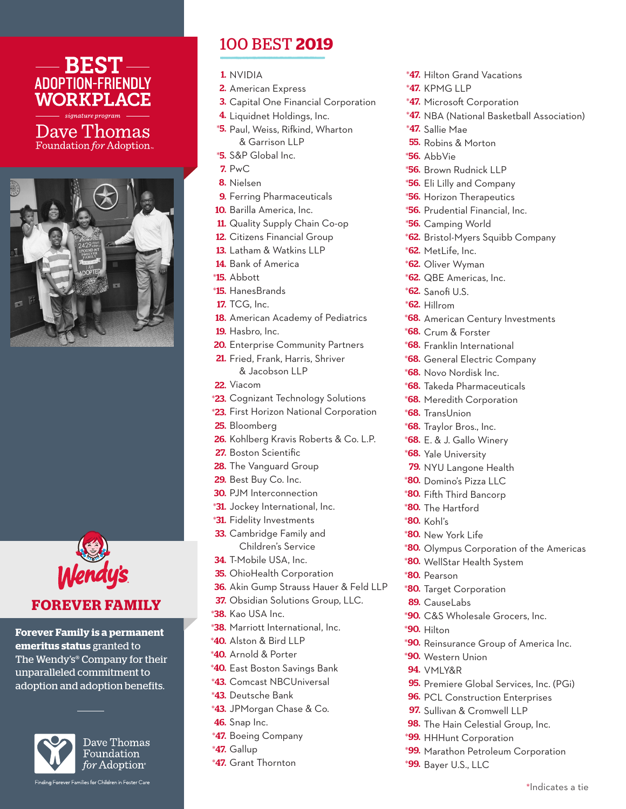

Dave Thomas Foundation for Adoption





## **FOREVER FAMILY**

**Forever Family is a permanent emeritus status** granted to The Wendy's® Company for their unparalleled commitment to adoption and adoption benefits.



Dave Thomas Foundation for Adoption<sup>®</sup>

Finding Forever Families for Children in Foster Care

## 100 BEST **2019**

- 1. NVIDIA
- 2. American Express
- 3. Capital One Financial Corporation
- 4. Liquidnet Holdings, Inc.
- \*5. Paul, Weiss, Rifkind, Wharton & Garrison LLP
- \*5. S&P Global Inc.
- 7. PwC
- 8. Nielsen
- **9.** Ferring Pharmaceuticals
- **10.** Barilla America, Inc.
- 11. Quality Supply Chain Co-op
- 12. Citizens Financial Group
- 13. Latham & Watkins LLP
- 14. Bank of America
- \*15. Abbott
- \*15. HanesBrands
- 17. TCG, Inc.
- 18. American Academy of Pediatrics
- **19.** Hasbro, Inc.
- 20. Enterprise Community Partners
- 21. Fried, Frank, Harris, Shriver & Jacobson LLP
- 22. Viacom
- \*23. Cognizant Technology Solutions
- \*23. First Horizon National Corporation
- 25. Bloomberg
- 26. Kohlberg Kravis Roberts & Co. L.P.
- 27. Boston Scientific
- 28. The Vanguard Group
- 29. Best Buy Co. Inc.
- 30. PJM Interconnection
- \*31. Jockey International, Inc.
- \*31. Fidelity Investments
- 33. Cambridge Family and Children's Service
- 34. T-Mobile USA, Inc.
- 35. OhioHealth Corporation
- 36. Akin Gump Strauss Hauer & Feld LLP
- 37. Obsidian Solutions Group, LLC.
- \*38. Kao USA Inc.
- \*38. Marriott International, Inc.
- \*40. Alston & Bird LLP
- \*40. Arnold & Porter
- \*40. East Boston Savings Bank
- \*43. Comcast NBCUniversal
- \*43. Deutsche Bank
- \*43. JPMorgan Chase & Co.
- 46. Snap Inc.
- \*47. Boeing Company
- \*47. Gallup
- \*47. Grant Thornton
- \*47. Hilton Grand Vacations
- \*47. KPMG LLP
- \*47. Microsoft Corporation
- \*47. NBA (National Basketball Association)
- \*47. Sallie Mae
- **55.** Robins & Morton
- \*56. AbbVie
- \*56. Brown Rudnick LLP
- \*56. Eli Lilly and Company
- \*56. Horizon Therapeutics
- \*56. Prudential Financial, Inc.
- \*56. Camping World
- \*62. Bristol-Myers Squibb Company
- \*62. MetLife, Inc.
- \*62. Oliver Wyman
- \*62. QBE Americas, Inc.
- \*62. Sanofi U.S.
- \*62. Hillrom
- **\*68.** American Century Investments
- \*68. Crum & Forster
- \*68. Franklin International
- \*68. General Electric Company
- \*68. Novo Nordisk Inc.
- \*68. Takeda Pharmaceuticals
- \*68. Meredith Corporation
- \*68. TransUnion
- \*68. Traylor Bros., Inc.
- \*68. E. & J. Gallo Winery
- **68.** Yale University
- 79. NYU Langone Health
- \*80. Domino's Pizza LLC
- \*80. Fifth Third Bancorp
- \*80. The Hartford
- \*80. Kohl's
- \*80. New York Life
- \*80. Olympus Corporation of the Americas
- \*80. WellStar Health System
- \*80. Pearson

\*90. Hilton

\*80. Target Corporation

\*90. Western Union **94.** vmly&r

89. CauseLabs

\*99. HHHunt Corporation

\*99. Bayer U.S., LLC

\*90. C&S Wholesale Grocers, Inc.

\*90. Reinsurance Group of America Inc.

95. Premiere Global Services, Inc. (PGi) **96.** PCL Construction Enterprises 97. Sullivan & Cromwell LLP 98. The Hain Celestial Group, Inc.

\*99. Marathon Petroleum Corporation

\*Indicates a tie